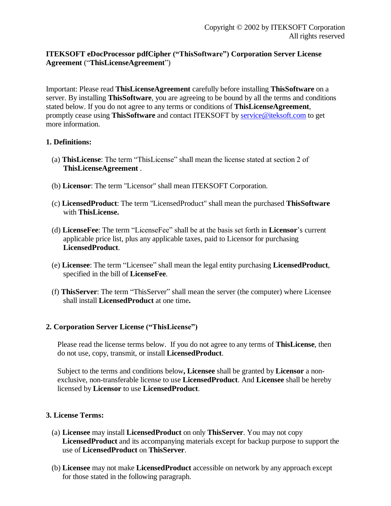# **ITEKSOFT eDocProcessor pdfCipher ("ThisSoftware") Corporation Server License Agreement** ("**ThisLicenseAgreement**")

Important: Please read **ThisLicenseAgreement** carefully before installing **ThisSoftware** on a server. By installing **ThisSoftware**, you are agreeing to be bound by all the terms and conditions stated below. If you do not agree to any terms or conditions of **ThisLicenseAgreement**, promptly cease using **ThisSoftware** and contact ITEKSOFT by service@iteksoft.com to get more information.

### **1. Definitions:**

- (a) **ThisLicense**: The term "ThisLicense" shall mean the license stated at section 2 of **ThisLicenseAgreement** .
- (b) **Licensor**: The term "Licensor" shall mean ITEKSOFT Corporation.
- (c) **LicensedProduct**: The term "LicensedProduct" shall mean the purchased **ThisSoftware** with **ThisLicense.**
- (d) **LicenseFee**: The term "LicenseFee" shall be at the basis set forth in **Licensor**'s current applicable price list, plus any applicable taxes, paid to Licensor for purchasing **LicensedProduct**.
- (e) **Licensee**: The term "Licensee" shall mean the legal entity purchasing **LicensedProduct**, specified in the bill of **LicenseFee**.
- (f) **ThisServer**: The term "ThisServer" shall mean the server (the computer) where Licensee shall install **LicensedProduct** at one time**.**

# **2. Corporation Server License ("ThisLicense")**

Please read the license terms below. If you do not agree to any terms of **ThisLicense**, then do not use, copy, transmit, or install **LicensedProduct**.

Subject to the terms and conditions below**, Licensee** shall be granted by **Licensor** a nonexclusive, non-transferable license to use **LicensedProduct**. And **Licensee** shall be hereby licensed by **Licensor** to use **LicensedProduct**.

#### **3. License Terms:**

- (a) **Licensee** may install **LicensedProduct** on only **ThisServer**. You may not copy **LicensedProduct** and its accompanying materials except for backup purpose to support the use of **LicensedProduct** on **ThisServer**.
- (b) **Licensee** may not make **LicensedProduct** accessible on network by any approach except for those stated in the following paragraph.